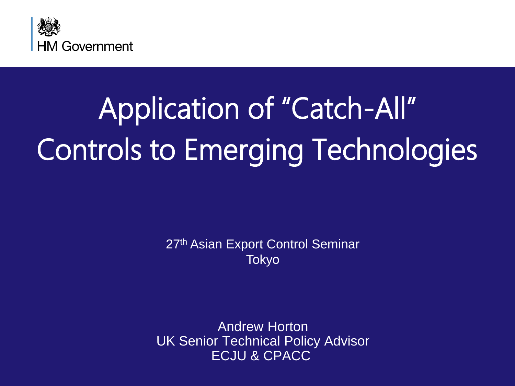

# Application of "Catch-All" Controls to Emerging Technologies

27<sup>th</sup> Asian Export Control Seminar Tokyo

Andrew Horton UK Senior Technical Policy Advisor ECJU & CPACC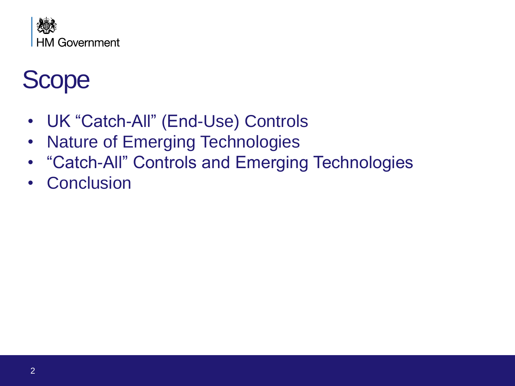

### Scope

- UK "Catch-All" (End-Use) Controls
- Nature of Emerging Technologies
- "Catch-All" Controls and Emerging Technologies
- Conclusion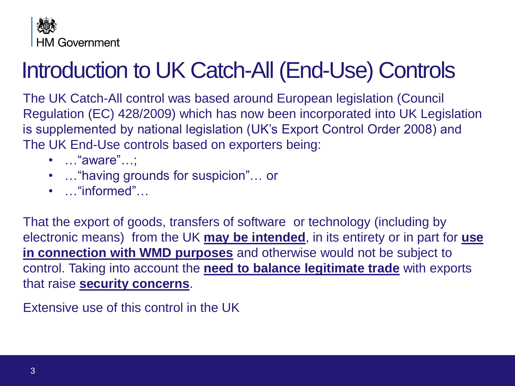

### Introduction to UK Catch-All (End-Use) Controls

The UK Catch-All control was based around European legislation (Council Regulation (EC) 428/2009) which has now been incorporated into UK Legislation is supplemented by national legislation (UK's Export Control Order 2008) and The UK End-Use controls based on exporters being:

- …"aware"…;
- …"having grounds for suspicion"… or
- …"informed"…

That the export of goods, transfers of software or technology (including by electronic means) from the UK **may be intended**, in its entirety or in part for **use in connection with WMD purposes** and otherwise would not be subject to control. Taking into account the **need to balance legitimate trade** with exports that raise **security concerns**.

Extensive use of this control in the UK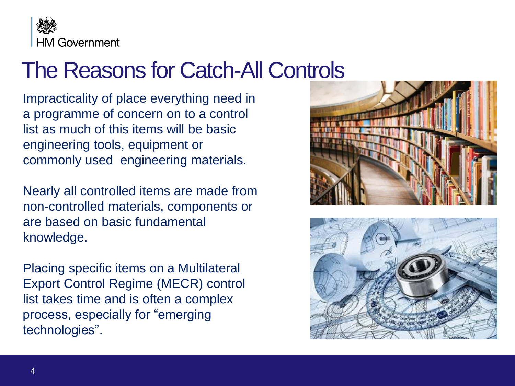

### The Reasons for Catch-All Controls

Impracticality of place everything need in a programme of concern on to a control list as much of this items will be basic engineering tools, equipment or commonly used engineering materials.

Nearly all controlled items are made from non-controlled materials, components or are based on basic fundamental knowledge.

Placing specific items on a Multilateral Export Control Regime (MECR) control list takes time and is often a complex process, especially for "emerging technologies".



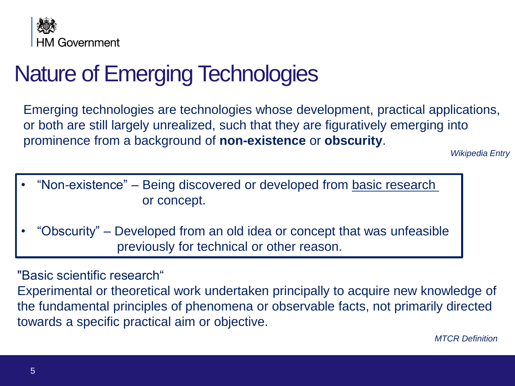

### Nature of Emerging Technologies

Emerging technologies are technologies whose development, practical applications, or both are still largely unrealized, such that they are figuratively emerging into prominence from a background of **non-existence** or **obscurity**.

*Wikipedia Entry* 

- "Non-existence" Being discovered or developed from basic research or concept.
- "Obscurity" Developed from an old idea or concept that was unfeasible previously for technical or other reason.

"Basic scientific research"

Experimental or theoretical work undertaken principally to acquire new knowledge of the fundamental principles of phenomena or observable facts, not primarily directed towards a specific practical aim or objective.

*MTCR Definition*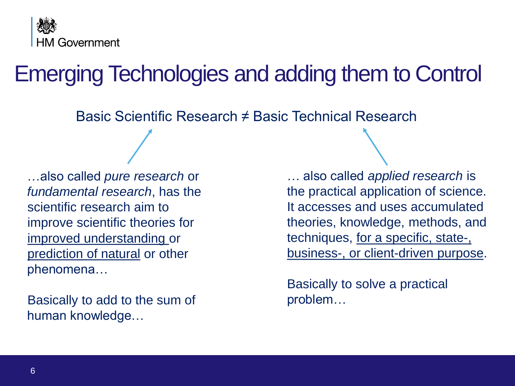

### Emerging Technologies and adding them to Control

Basic Scientific Research ≠ Basic Technical Research

…also called *pure research* or *fundamental research*, has the scientific research aim to improve scientific theories for improved understanding or prediction of natural or other phenomena…

Basically to add to the sum of human knowledge…

… also called *applied research* is the practical application of science. It accesses and uses accumulated theories, knowledge, methods, and techniques, for a specific, state-, business-, or client-driven purpose.

Basically to solve a practical problem…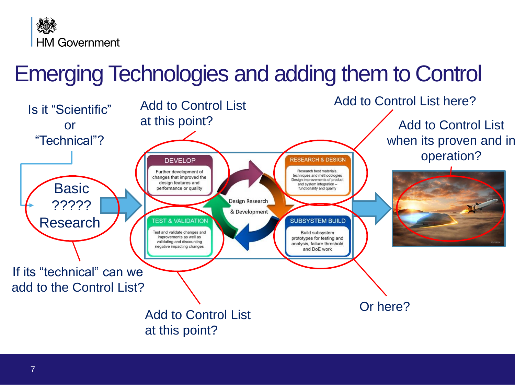

### Emerging Technologies and adding them to Control

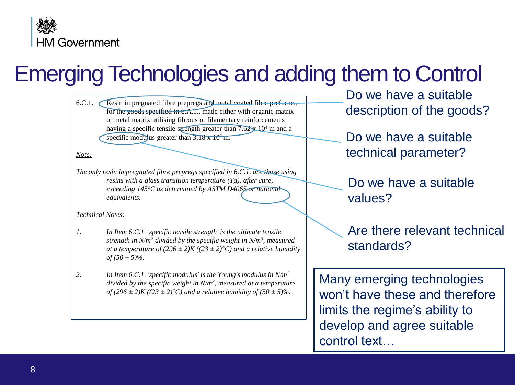

### Emerging Technologies and adding them to Control

6.C.1. Resin impregnated fibre prepregs and metal coated fibre preforms, for the goods specified in 6.A.1., made either with organic matrix or metal matrix utilising fibrous or filamentary reinforcements having a specific tensile strength greater than  $7.62 \times 10^4$  m and a specific modulus greater than  $3.18 \times 10^6$  m.

*Note:*

*The only resin impregnated fibre prepregs specified in 6.C.1. are those using resins with a glass transition temperature (Tg), after cure, exceeding 145<sup>o</sup>C as determined by ASTM D4065 or national equivalents.*

#### *Technical Notes:*

- *1. In Item 6.C.1. 'specific tensile strength' is the ultimate tensile strength in N/m<sup>2</sup> divided by the specific weight in N/m<sup>3</sup> , measured at a temperature of*  $(296 \pm 2)K ((23 \pm 2)^{\circ}C)$  *and a relative humidity*  $of (50 \pm 5)\%$ .
- *2. In Item 6.C.1. 'specific modulus' is the Young's modulus in N/m<sup>2</sup> divided by the specific weight in N/m<sup>3</sup> , measured at a temperature of*  $(296 \pm 2)K ((23 \pm 2)°C)$  *and a relative humidity of*  $(50 \pm 5)%$ .

Do we have a suitable description of the goods?

Do we have a suitable technical parameter?

Do we have a suitable values?

Are there relevant technical standards?

Many emerging technologies won't have these and therefore limits the regime's ability to develop and agree suitable control text…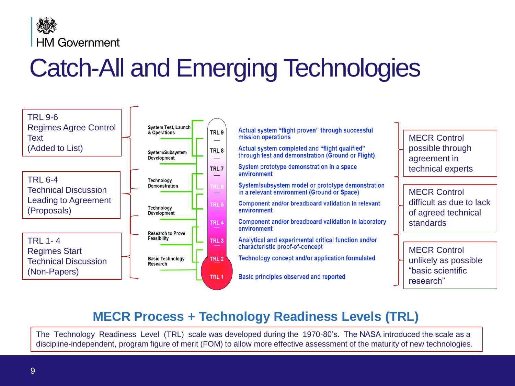

# Catch-All and Emerging Technologies



### **MECR Process + Technology Readiness Levels (TRL)**

The Technology Readiness Level (TRL) scale was developed during the 1970-80's. The NASA introduced the scale as a discipline-independent, program figure of merit (FOM) to allow more effective assessment of the maturity of new technologies.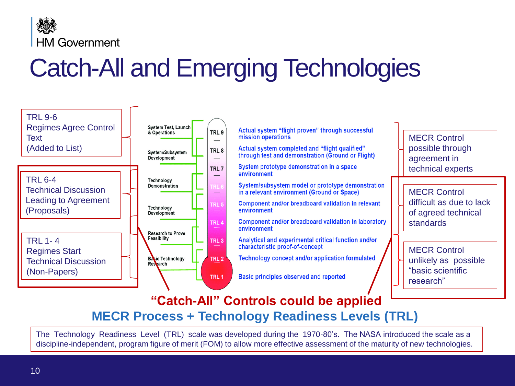

# Catch-All and Emerging Technologies



### **MECR Process + Technology Readiness Levels (TRL) "Catch-All" Controls could be applied**

The Technology Readiness Level (TRL) scale was developed during the 1970-80's. The NASA introduced the scale as a discipline-independent, program figure of merit (FOM) to allow more effective assessment of the maturity of new technologies.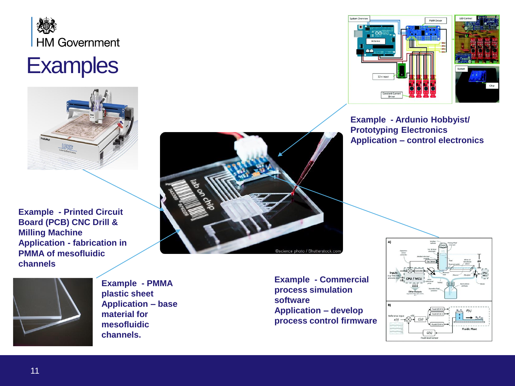

### **Examples**



**Example - Printed Circuit Board (PCB) CNC Drill & Milling Machine Application - fabrication in PMMA of mesofluidic channels**



**Example - PMMA plastic sheet Application – base material for mesofluidic channels.**





**Example - Ardunio Hobbyist/ Prototyping Electronics Application – control electronics** 

**Example - Commercial process simulation software Application – develop process control firmware**

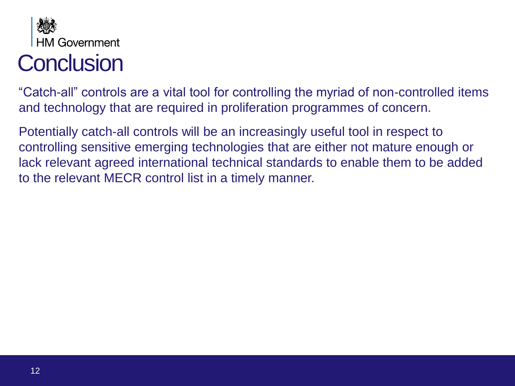

### **Conclusion**

"Catch-all" controls are a vital tool for controlling the myriad of non-controlled items and technology that are required in proliferation programmes of concern.

Potentially catch-all controls will be an increasingly useful tool in respect to controlling sensitive emerging technologies that are either not mature enough or lack relevant agreed international technical standards to enable them to be added to the relevant MECR control list in a timely manner.